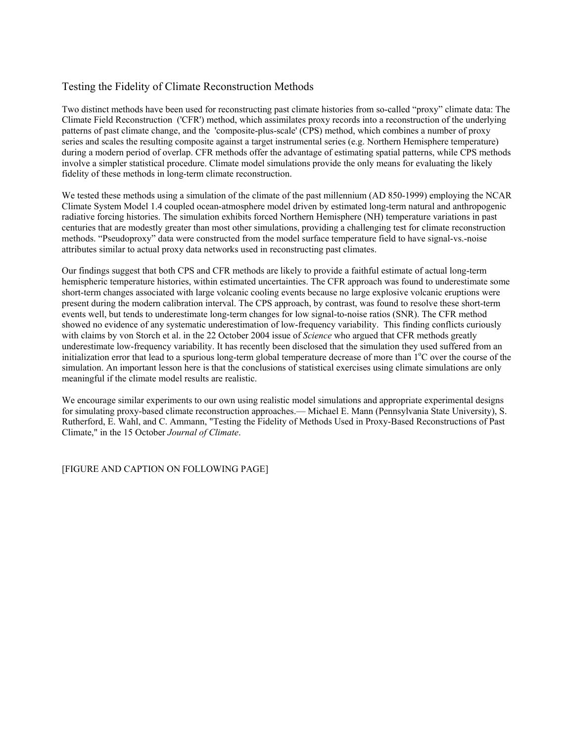## Testing the Fidelity of Climate Reconstruction Methods

Two distinct methods have been used for reconstructing past climate histories from so-called "proxy" climate data: The Climate Field Reconstruction ('CFR') method, which assimilates proxy records into a reconstruction of the underlying patterns of past climate change, and the 'composite-plus-scale' (CPS) method, which combines a number of proxy series and scales the resulting composite against a target instrumental series (e.g. Northern Hemisphere temperature) during a modern period of overlap. CFR methods offer the advantage of estimating spatial patterns, while CPS methods involve a simpler statistical procedure. Climate model simulations provide the only means for evaluating the likely fidelity of these methods in long-term climate reconstruction.

We tested these methods using a simulation of the climate of the past millennium (AD 850-1999) employing the NCAR Climate System Model 1.4 coupled ocean-atmosphere model driven by estimated long-term natural and anthropogenic radiative forcing histories. The simulation exhibits forced Northern Hemisphere (NH) temperature variations in past centuries that are modestly greater than most other simulations, providing a challenging test for climate reconstruction methods. "Pseudoproxy" data were constructed from the model surface temperature field to have signal-vs.-noise attributes similar to actual proxy data networks used in reconstructing past climates.

Our findings suggest that both CPS and CFR methods are likely to provide a faithful estimate of actual long-term hemispheric temperature histories, within estimated uncertainties. The CFR approach was found to underestimate some short-term changes associated with large volcanic cooling events because no large explosive volcanic eruptions were present during the modern calibration interval. The CPS approach, by contrast, was found to resolve these short-term events well, but tends to underestimate long-term changes for low signal-to-noise ratios (SNR). The CFR method showed no evidence of any systematic underestimation of low-frequency variability. This finding conflicts curiously with claims by von Storch et al. in the 22 October 2004 issue of *Science* who argued that CFR methods greatly underestimate low-frequency variability. It has recently been disclosed that the simulation they used suffered from an initialization error that lead to a spurious long-term global temperature decrease of more than  $1^{\circ}$ C over the course of the simulation. An important lesson here is that the conclusions of statistical exercises using climate simulations are only meaningful if the climate model results are realistic.

We encourage similar experiments to our own using realistic model simulations and appropriate experimental designs for simulating proxy-based climate reconstruction approaches.— Michael E. Mann (Pennsylvania State University), S. Rutherford, E. Wahl, and C. Ammann, "Testing the Fidelity of Methods Used in Proxy-Based Reconstructions of Past Climate," in the 15 October *Journal of Climate*.

[FIGURE AND CAPTION ON FOLLOWING PAGE]